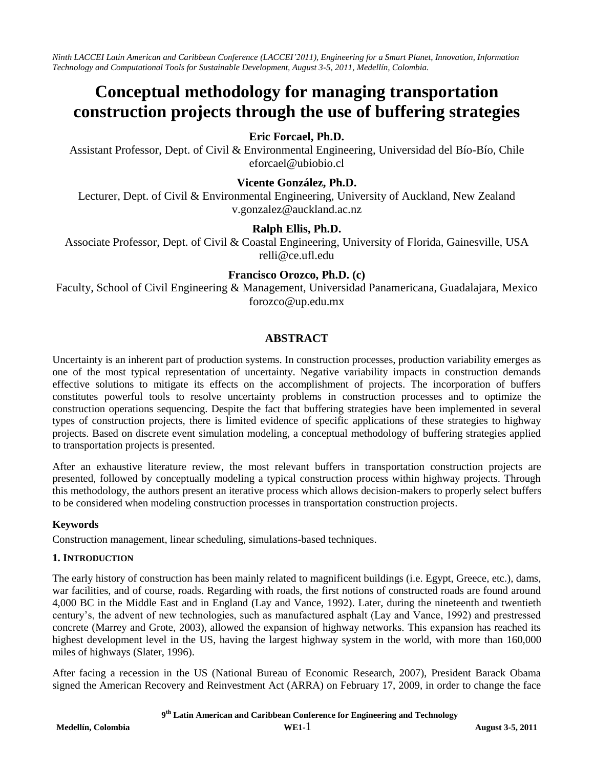*Ninth LACCEI Latin American and Caribbean Conference (LACCEI'2011), Engineering for a Smart Planet, Innovation, Information Technology and Computational Tools for Sustainable Development, August 3-5, 2011, Medellín, Colombia.*

# **Conceptual methodology for managing transportation construction projects through the use of buffering strategies**

# **Eric Forcael, Ph.D.**

Assistant Professor, Dept. of Civil & Environmental Engineering, Universidad del Bío-Bío, Chile eforcael@ubiobio.cl

# **Vicente González, Ph.D.**

Lecturer, Dept. of Civil & Environmental Engineering, University of Auckland, New Zealand v.gonzalez@auckland.ac.nz

# **Ralph Ellis, Ph.D.**

Associate Professor, Dept. of Civil & Coastal Engineering, University of Florida, Gainesville, USA relli@ce.ufl.edu

## **Francisco Orozco, Ph.D. (c)**

Faculty, School of Civil Engineering & Management, Universidad Panamericana, Guadalajara, Mexico forozco@up.edu.mx

# **ABSTRACT**

Uncertainty is an inherent part of production systems. In construction processes, production variability emerges as one of the most typical representation of uncertainty. Negative variability impacts in construction demands effective solutions to mitigate its effects on the accomplishment of projects. The incorporation of buffers constitutes powerful tools to resolve uncertainty problems in construction processes and to optimize the construction operations sequencing. Despite the fact that buffering strategies have been implemented in several types of construction projects, there is limited evidence of specific applications of these strategies to highway projects. Based on discrete event simulation modeling, a conceptual methodology of buffering strategies applied to transportation projects is presented.

After an exhaustive literature review, the most relevant buffers in transportation construction projects are presented, followed by conceptually modeling a typical construction process within highway projects. Through this methodology, the authors present an iterative process which allows decision-makers to properly select buffers to be considered when modeling construction processes in transportation construction projects.

#### **Keywords**

Construction management, linear scheduling, simulations-based techniques.

#### **1. INTRODUCTION**

The early history of construction has been mainly related to magnificent buildings (i.e. Egypt, Greece, etc.), dams, war facilities, and of course, roads. Regarding with roads, the first notions of constructed roads are found around 4,000 BC in the Middle East and in England (Lay and Vance, 1992). Later, during the nineteenth and twentieth century's, the advent of new technologies, such as manufactured asphalt (Lay and Vance, 1992) and prestressed concrete (Marrey and Grote, 2003), allowed the expansion of highway networks. This expansion has reached its highest development level in the US, having the largest highway system in the world, with more than 160,000 miles of highways (Slater, 1996).

After facing a recession in the US (National Bureau of Economic Research, 2007), President Barack Obama signed the American Recovery and Reinvestment Act (ARRA) on February 17, 2009, in order to change the face

 **9 th Latin American and Caribbean Conference for Engineering and Technology**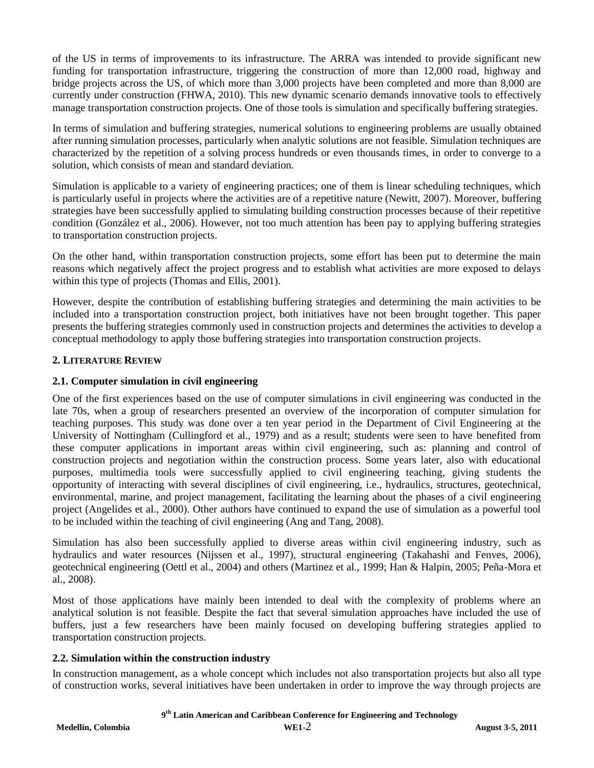of the US in terms of improvements to its infrastructure. The ARRA was intended to provide significant new funding for transportation infrastructure, triggering the construction of more than 12,000 road, highway and bridge projects across the US, of which more than 3,000 projects have been completed and more than 8,000 are currently under construction (FHWA, 2010). This new dynamic scenario demands innovative tools to effectively manage transportation construction projects. One of those tools is simulation and specifically buffering strategies.

In terms of simulation and buffering strategies, numerical solutions to engineering problems are usually obtained after running simulation processes, particularly when analytic solutions are not feasible. Simulation techniques are characterized by the repetition of a solving process hundreds or even thousands times, in order to converge to a solution, which consists of mean and standard deviation.

Simulation is applicable to a variety of engineering practices; one of them is linear scheduling techniques, which is particularly useful in projects where the activities are of a repetitive nature (Newitt, 2007). Moreover, buffering strategies have been successfully applied to simulating building construction processes because of their repetitive condition (González et al., 2006). However, not too much attention has been pay to applying buffering strategies to transportation construction projects.

On the other hand, within transportation construction projects, some effort has been put to determine the main reasons which negatively affect the project progress and to establish what activities are more exposed to delays within this type of projects (Thomas and Ellis, 2001).

However, despite the contribution of establishing buffering strategies and determining the main activities to be included into a transportation construction project, both initiatives have not been brought together. This paper presents the buffering strategies commonly used in construction projects and determines the activities to develop a conceptual methodology to apply those buffering strategies into transportation construction projects.

# **2. LITERATURE REVIEW**

## **2.1. Computer simulation in civil engineering**

One of the first experiences based on the use of computer simulations in civil engineering was conducted in the late 70s, when a group of researchers presented an overview of the incorporation of computer simulation for teaching purposes. This study was done over a ten year period in the Department of Civil Engineering at the University of Nottingham (Cullingford et al., 1979) and as a result; students were seen to have benefited from these computer applications in important areas within civil engineering, such as: planning and control of construction projects and negotiation within the construction process. Some years later, also with educational purposes, multimedia tools were successfully applied to civil engineering teaching, giving students the opportunity of interacting with several disciplines of civil engineering, i.e., hydraulics, structures, geotechnical, environmental, marine, and project management, facilitating the learning about the phases of a civil engineering project (Angelides et al., 2000). Other authors have continued to expand the use of simulation as a powerful tool to be included within the teaching of civil engineering (Ang and Tang, 2008).

Simulation has also been successfully applied to diverse areas within civil engineering industry, such as hydraulics and water resources (Nijssen et al., 1997), structural engineering (Takahashi and Fenves, 2006), geotechnical engineering (Oettl et al., 2004) and others (Martinez et al., 1999; Han & Halpin, 2005; Peña-Mora et al., 2008).

Most of those applications have mainly been intended to deal with the complexity of problems where an analytical solution is not feasible. Despite the fact that several simulation approaches have included the use of buffers, just a few researchers have been mainly focused on developing buffering strategies applied to transportation construction projects.

#### **2.2. Simulation within the construction industry**

In construction management, as a whole concept which includes not also transportation projects but also all type of construction works, several initiatives have been undertaken in order to improve the way through projects are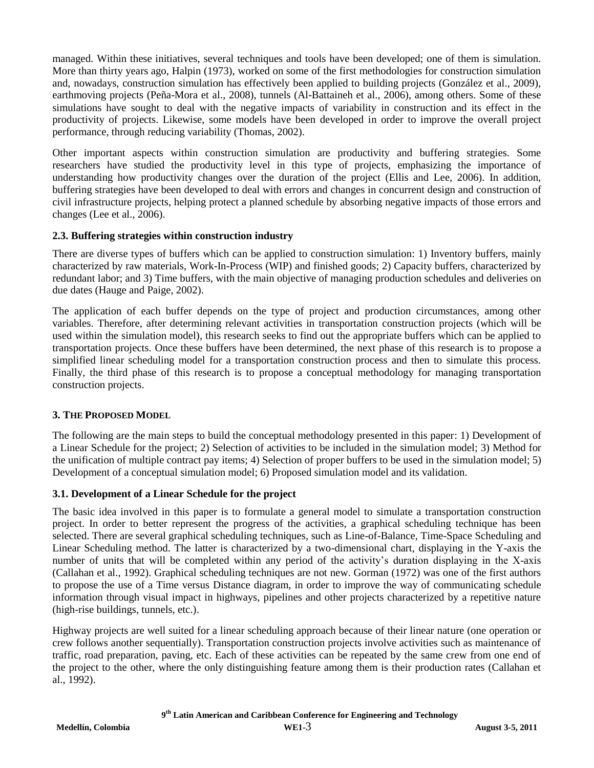managed. Within these initiatives, several techniques and tools have been developed; one of them is simulation. More than thirty years ago, Halpin (1973), worked on some of the first methodologies for construction simulation and, nowadays, construction simulation has effectively been applied to building projects (González et al., 2009), earthmoving projects (Peña-Mora et al., 2008), tunnels (Al-Battaineh et al., 2006), among others. Some of these simulations have sought to deal with the negative impacts of variability in construction and its effect in the productivity of projects. Likewise, some models have been developed in order to improve the overall project performance, through reducing variability (Thomas, 2002).

Other important aspects within construction simulation are productivity and buffering strategies. Some researchers have studied the productivity level in this type of projects, emphasizing the importance of understanding how productivity changes over the duration of the project (Ellis and Lee, 2006). In addition, buffering strategies have been developed to deal with errors and changes in concurrent design and construction of civil infrastructure projects, helping protect a planned schedule by absorbing negative impacts of those errors and changes (Lee et al., 2006).

## **2.3. Buffering strategies within construction industry**

There are diverse types of buffers which can be applied to construction simulation: 1) Inventory buffers, mainly characterized by raw materials, Work-In-Process (WIP) and finished goods; 2) Capacity buffers, characterized by redundant labor; and 3) Time buffers, with the main objective of managing production schedules and deliveries on due dates (Hauge and Paige, 2002).

The application of each buffer depends on the type of project and production circumstances, among other variables. Therefore, after determining relevant activities in transportation construction projects (which will be used within the simulation model), this research seeks to find out the appropriate buffers which can be applied to transportation projects. Once these buffers have been determined, the next phase of this research is to propose a simplified linear scheduling model for a transportation construction process and then to simulate this process. Finally, the third phase of this research is to propose a conceptual methodology for managing transportation construction projects.

# **3. THE PROPOSED MODEL**

The following are the main steps to build the conceptual methodology presented in this paper: 1) Development of a Linear Schedule for the project; 2) Selection of activities to be included in the simulation model; 3) Method for the unification of multiple contract pay items; 4) Selection of proper buffers to be used in the simulation model; 5) Development of a conceptual simulation model; 6) Proposed simulation model and its validation.

# **3.1. Development of a Linear Schedule for the project**

The basic idea involved in this paper is to formulate a general model to simulate a transportation construction project. In order to better represent the progress of the activities, a graphical scheduling technique has been selected. There are several graphical scheduling techniques, such as Line-of-Balance, Time-Space Scheduling and Linear Scheduling method. The latter is characterized by a two-dimensional chart, displaying in the Y-axis the number of units that will be completed within any period of the activity's duration displaying in the X-axis (Callahan et al., 1992). Graphical scheduling techniques are not new. Gorman (1972) was one of the first authors to propose the use of a Time versus Distance diagram, in order to improve the way of communicating schedule information through visual impact in highways, pipelines and other projects characterized by a repetitive nature (high-rise buildings, tunnels, etc.).

Highway projects are well suited for a linear scheduling approach because of their linear nature (one operation or crew follows another sequentially). Transportation construction projects involve activities such as maintenance of traffic, road preparation, paving, etc. Each of these activities can be repeated by the same crew from one end of the project to the other, where the only distinguishing feature among them is their production rates (Callahan et al., 1992).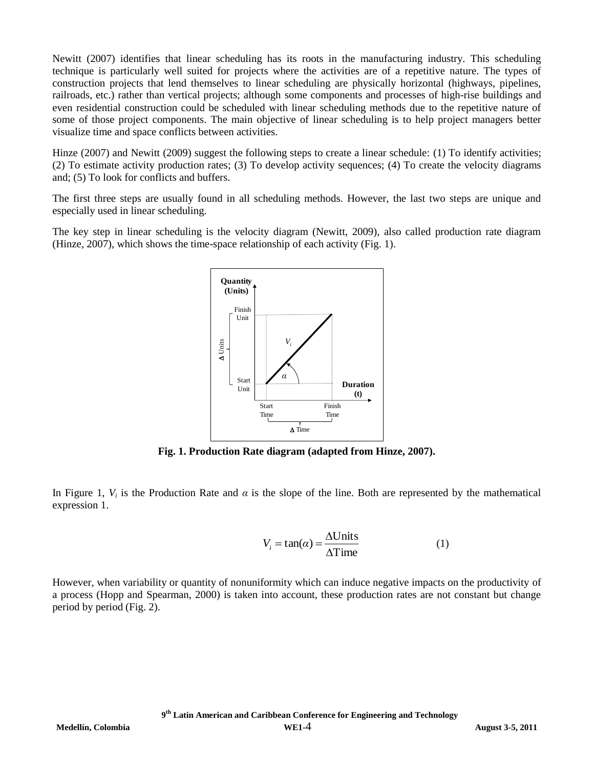Newitt (2007) identifies that linear scheduling has its roots in the manufacturing industry. This scheduling technique is particularly well suited for projects where the activities are of a repetitive nature. The types of construction projects that lend themselves to linear scheduling are physically horizontal (highways, pipelines, railroads, etc.) rather than vertical projects; although some components and processes of high-rise buildings and even residential construction could be scheduled with linear scheduling methods due to the repetitive nature of some of those project components. The main objective of linear scheduling is to help project managers better visualize time and space conflicts between activities.

Hinze (2007) and Newitt (2009) suggest the following steps to create a linear schedule: (1) To identify activities; (2) To estimate activity production rates; (3) To develop activity sequences; (4) To create the velocity diagrams and; (5) To look for conflicts and buffers.

The first three steps are usually found in all scheduling methods. However, the last two steps are unique and especially used in linear scheduling.

The key step in linear scheduling is the velocity diagram (Newitt, 2009), also called production rate diagram (Hinze, 2007), which shows the time-space relationship of each activity (Fig. 1).



**Fig. 1. Production Rate diagram (adapted from Hinze, 2007).**

In Figure 1,  $V_i$  is the Production Rate and  $\alpha$  is the slope of the line. Both are represented by the mathematical expression 1.

$$
V_i = \tan(\alpha) = \frac{\Delta \text{Units}}{\Delta \text{Time}} \tag{1}
$$

However, when variability or quantity of nonuniformity which can induce negative impacts on the productivity of a process (Hopp and Spearman, 2000) is taken into account, these production rates are not constant but change period by period (Fig. 2).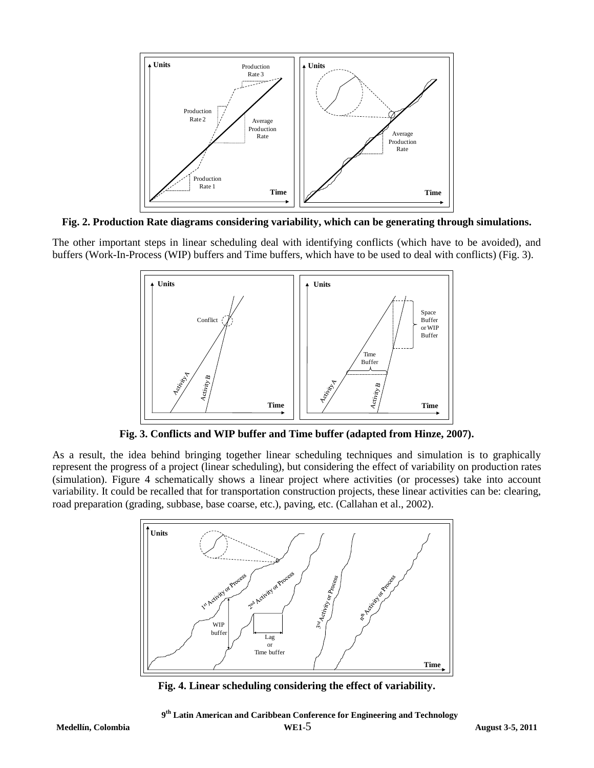

**Fig. 2. Production Rate diagrams considering variability, which can be generating through simulations.**

The other important steps in linear scheduling deal with identifying conflicts (which have to be avoided), and buffers (Work-In-Process (WIP) buffers and Time buffers, which have to be used to deal with conflicts) (Fig. 3).



**Fig. 3. Conflicts and WIP buffer and Time buffer (adapted from Hinze, 2007).**

As a result, the idea behind bringing together linear scheduling techniques and simulation is to graphically represent the progress of a project (linear scheduling), but considering the effect of variability on production rates (simulation). Figure 4 schematically shows a linear project where activities (or processes) take into account variability. It could be recalled that for transportation construction projects, these linear activities can be: clearing, road preparation (grading, subbase, base coarse, etc.), paving, etc. (Callahan et al., 2002).



**Fig. 4. Linear scheduling considering the effect of variability.**

 **9 th Latin American and Caribbean Conference for Engineering and Technology**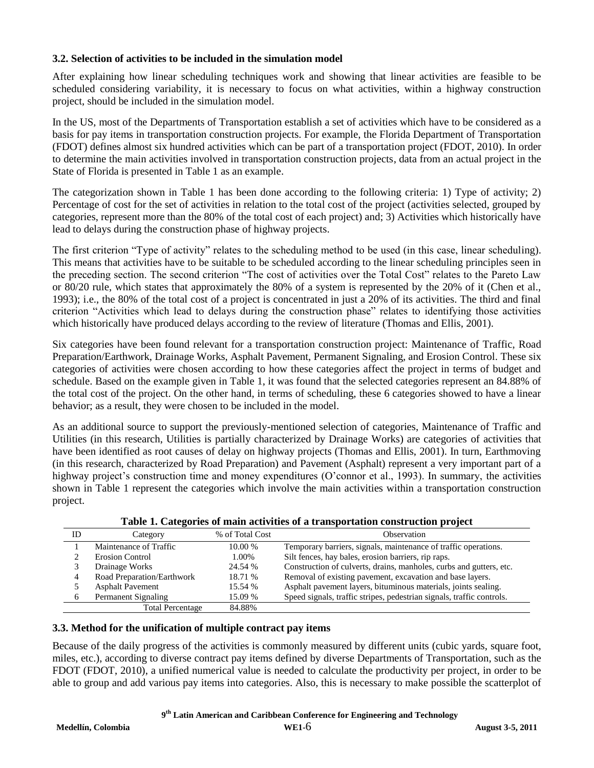## **3.2. Selection of activities to be included in the simulation model**

After explaining how linear scheduling techniques work and showing that linear activities are feasible to be scheduled considering variability, it is necessary to focus on what activities, within a highway construction project, should be included in the simulation model.

In the US, most of the Departments of Transportation establish a set of activities which have to be considered as a basis for pay items in transportation construction projects. For example, the Florida Department of Transportation (FDOT) defines almost six hundred activities which can be part of a transportation project (FDOT, 2010). In order to determine the main activities involved in transportation construction projects, data from an actual project in the State of Florida is presented in Table 1 as an example.

The categorization shown in Table 1 has been done according to the following criteria: 1) Type of activity; 2) Percentage of cost for the set of activities in relation to the total cost of the project (activities selected, grouped by categories, represent more than the 80% of the total cost of each project) and; 3) Activities which historically have lead to delays during the construction phase of highway projects.

The first criterion "Type of activity" relates to the scheduling method to be used (in this case, linear scheduling). This means that activities have to be suitable to be scheduled according to the linear scheduling principles seen in the preceding section. The second criterion "The cost of activities over the Total Cost" relates to the Pareto Law or 80/20 rule, which states that approximately the 80% of a system is represented by the 20% of it (Chen et al., 1993); i.e., the 80% of the total cost of a project is concentrated in just a 20% of its activities. The third and final criterion "Activities which lead to delays during the construction phase" relates to identifying those activities which historically have produced delays according to the review of literature (Thomas and Ellis, 2001).

Six categories have been found relevant for a transportation construction project: Maintenance of Traffic, Road Preparation/Earthwork, Drainage Works, Asphalt Pavement, Permanent Signaling, and Erosion Control. These six categories of activities were chosen according to how these categories affect the project in terms of budget and schedule. Based on the example given in Table 1, it was found that the selected categories represent an 84.88% of the total cost of the project. On the other hand, in terms of scheduling, these 6 categories showed to have a linear behavior; as a result, they were chosen to be included in the model.

As an additional source to support the previously-mentioned selection of categories, Maintenance of Traffic and Utilities (in this research, Utilities is partially characterized by Drainage Works) are categories of activities that have been identified as root causes of delay on highway projects (Thomas and Ellis, 2001). In turn, Earthmoving (in this research, characterized by Road Preparation) and Pavement (Asphalt) represent a very important part of a highway project's construction time and money expenditures (O'connor et al., 1993). In summary, the activities shown in Table 1 represent the categories which involve the main activities within a transportation construction project.

|    | Those It Cheek of the month were completed by the computation of the clear |                 |                                                                       |  |  |
|----|----------------------------------------------------------------------------|-----------------|-----------------------------------------------------------------------|--|--|
| ID | Category                                                                   | % of Total Cost | Observation                                                           |  |  |
|    | Maintenance of Traffic                                                     | 10.00%          | Temporary barriers, signals, maintenance of traffic operations.       |  |  |
|    | Erosion Control                                                            | 1.00%           | Silt fences, hay bales, erosion barriers, rip raps.                   |  |  |
|    | Drainage Works                                                             | 24.54 %         | Construction of culverts, drains, manholes, curbs and gutters, etc.   |  |  |
|    | Road Preparation/Earthwork                                                 | 18.71 %         | Removal of existing pavement, excavation and base layers.             |  |  |
|    | <b>Asphalt Pavement</b>                                                    | 15.54 %         | Asphalt pavement layers, bituminous materials, joints sealing.        |  |  |
|    | Permanent Signaling                                                        | 15.09 %         | Speed signals, traffic stripes, pedestrian signals, traffic controls. |  |  |
|    | <b>Total Percentage</b>                                                    | 84.88%          |                                                                       |  |  |

#### **Table 1. Categories of main activities of a transportation construction project**

#### **3.3. Method for the unification of multiple contract pay items**

Because of the daily progress of the activities is commonly measured by different units (cubic yards, square foot, miles, etc.), according to diverse contract pay items defined by diverse Departments of Transportation, such as the FDOT (FDOT, 2010), a unified numerical value is needed to calculate the productivity per project, in order to be able to group and add various pay items into categories. Also, this is necessary to make possible the scatterplot of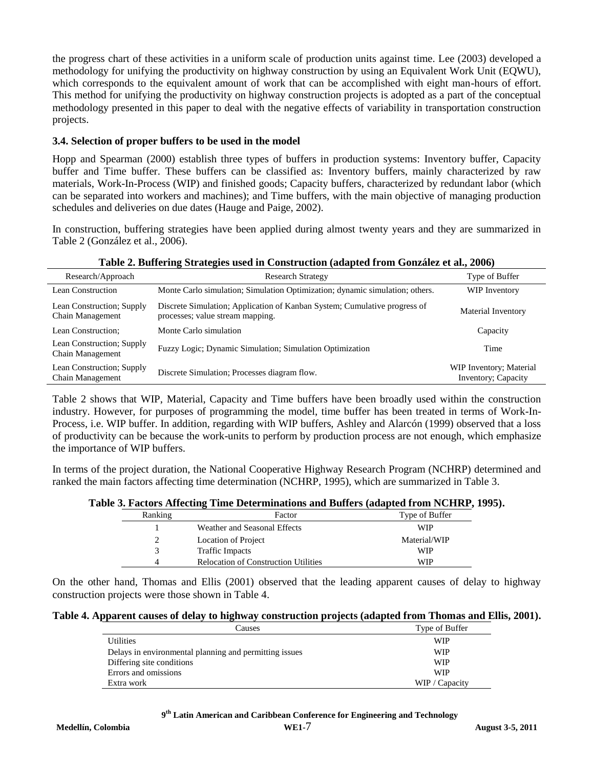the progress chart of these activities in a uniform scale of production units against time. Lee (2003) developed a methodology for unifying the productivity on highway construction by using an Equivalent Work Unit (EQWU), which corresponds to the equivalent amount of work that can be accomplished with eight man-hours of effort. This method for unifying the productivity on highway construction projects is adopted as a part of the conceptual methodology presented in this paper to deal with the negative effects of variability in transportation construction projects.

## **3.4. Selection of proper buffers to be used in the model**

Hopp and Spearman (2000) establish three types of buffers in production systems: Inventory buffer, Capacity buffer and Time buffer. These buffers can be classified as: Inventory buffers, mainly characterized by raw materials, Work-In-Process (WIP) and finished goods; Capacity buffers, characterized by redundant labor (which can be separated into workers and machines); and Time buffers, with the main objective of managing production schedules and deliveries on due dates (Hauge and Paige, 2002).

In construction, buffering strategies have been applied during almost twenty years and they are summarized in Table 2 (González et al., 2006).

| Research/Approach                             | <b>Research Strategy</b>                                                                                      | Type of Buffer                                 |  |  |  |  |
|-----------------------------------------------|---------------------------------------------------------------------------------------------------------------|------------------------------------------------|--|--|--|--|
| Lean Construction                             | Monte Carlo simulation; Simulation Optimization; dynamic simulation; others.                                  | WIP Inventory                                  |  |  |  |  |
| Lean Construction; Supply<br>Chain Management | Discrete Simulation; Application of Kanban System; Cumulative progress of<br>processes; value stream mapping. | Material Inventory                             |  |  |  |  |
| Lean Construction;                            | Monte Carlo simulation                                                                                        | Capacity                                       |  |  |  |  |
| Lean Construction; Supply<br>Chain Management | Fuzzy Logic; Dynamic Simulation; Simulation Optimization                                                      | Time                                           |  |  |  |  |
| Lean Construction; Supply<br>Chain Management | Discrete Simulation; Processes diagram flow.                                                                  | WIP Inventory; Material<br>Inventory; Capacity |  |  |  |  |

**Table 2. Buffering Strategies used in Construction (adapted from González et al., 2006)**

Table 2 shows that WIP, Material, Capacity and Time buffers have been broadly used within the construction industry. However, for purposes of programming the model, time buffer has been treated in terms of Work-In-Process, i.e. WIP buffer. In addition, regarding with WIP buffers, Ashley and Alarcón (1999) observed that a loss of productivity can be because the work-units to perform by production process are not enough, which emphasize the importance of WIP buffers.

In terms of the project duration, the National Cooperative Highway Research Program (NCHRP) determined and ranked the main factors affecting time determination (NCHRP, 1995), which are summarized in Table 3.

#### **Table 3. Factors Affecting Time Determinations and Buffers (adapted from NCHRP, 1995).**

|         | -                                           |                |
|---------|---------------------------------------------|----------------|
| Ranking | Factor                                      | Type of Buffer |
|         | Weather and Seasonal Effects                | WIP            |
|         | Location of Project                         | Material/WIP   |
|         | <b>Traffic Impacts</b>                      | WIP            |
| 4       | <b>Relocation of Construction Utilities</b> | WIP            |

On the other hand, Thomas and Ellis (2001) observed that the leading apparent causes of delay to highway construction projects were those shown in Table 4.

#### **Table 4. Apparent causes of delay to highway construction projects (adapted from Thomas and Ellis, 2001).**

| Causes                                                 | Type of Buffer |
|--------------------------------------------------------|----------------|
| <b>Utilities</b>                                       | WIP            |
| Delays in environmental planning and permitting issues | WIP            |
| Differing site conditions                              | WIP            |
| Errors and omissions                                   | <b>WIP</b>     |
| Extra work                                             | WIP / Capacity |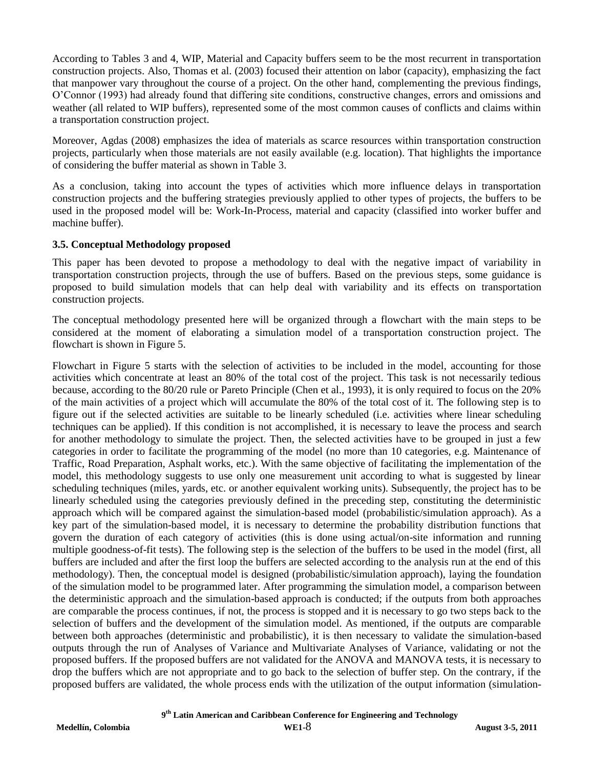According to Tables 3 and 4, WIP, Material and Capacity buffers seem to be the most recurrent in transportation construction projects. Also, Thomas et al. (2003) focused their attention on labor (capacity), emphasizing the fact that manpower vary throughout the course of a project. On the other hand, complementing the previous findings, O'Connor (1993) had already found that differing site conditions, constructive changes, errors and omissions and weather (all related to WIP buffers), represented some of the most common causes of conflicts and claims within a transportation construction project.

Moreover, Agdas (2008) emphasizes the idea of materials as scarce resources within transportation construction projects, particularly when those materials are not easily available (e.g. location). That highlights the importance of considering the buffer material as shown in Table 3.

As a conclusion, taking into account the types of activities which more influence delays in transportation construction projects and the buffering strategies previously applied to other types of projects, the buffers to be used in the proposed model will be: Work-In-Process, material and capacity (classified into worker buffer and machine buffer).

#### **3.5. Conceptual Methodology proposed**

This paper has been devoted to propose a methodology to deal with the negative impact of variability in transportation construction projects, through the use of buffers. Based on the previous steps, some guidance is proposed to build simulation models that can help deal with variability and its effects on transportation construction projects.

The conceptual methodology presented here will be organized through a flowchart with the main steps to be considered at the moment of elaborating a simulation model of a transportation construction project. The flowchart is shown in Figure 5.

Flowchart in Figure 5 starts with the selection of activities to be included in the model, accounting for those activities which concentrate at least an 80% of the total cost of the project. This task is not necessarily tedious because, according to the 80/20 rule or Pareto Principle (Chen et al., 1993), it is only required to focus on the 20% of the main activities of a project which will accumulate the 80% of the total cost of it. The following step is to figure out if the selected activities are suitable to be linearly scheduled (i.e. activities where linear scheduling techniques can be applied). If this condition is not accomplished, it is necessary to leave the process and search for another methodology to simulate the project. Then, the selected activities have to be grouped in just a few categories in order to facilitate the programming of the model (no more than 10 categories, e.g. Maintenance of Traffic, Road Preparation, Asphalt works, etc.). With the same objective of facilitating the implementation of the model, this methodology suggests to use only one measurement unit according to what is suggested by linear scheduling techniques (miles, yards, etc. or another equivalent working units). Subsequently, the project has to be linearly scheduled using the categories previously defined in the preceding step, constituting the deterministic approach which will be compared against the simulation-based model (probabilistic/simulation approach). As a key part of the simulation-based model, it is necessary to determine the probability distribution functions that govern the duration of each category of activities (this is done using actual/on-site information and running multiple goodness-of-fit tests). The following step is the selection of the buffers to be used in the model (first, all buffers are included and after the first loop the buffers are selected according to the analysis run at the end of this methodology). Then, the conceptual model is designed (probabilistic/simulation approach), laying the foundation of the simulation model to be programmed later. After programming the simulation model, a comparison between the deterministic approach and the simulation-based approach is conducted; if the outputs from both approaches are comparable the process continues, if not, the process is stopped and it is necessary to go two steps back to the selection of buffers and the development of the simulation model. As mentioned, if the outputs are comparable between both approaches (deterministic and probabilistic), it is then necessary to validate the simulation-based outputs through the run of Analyses of Variance and Multivariate Analyses of Variance, validating or not the proposed buffers. If the proposed buffers are not validated for the ANOVA and MANOVA tests, it is necessary to drop the buffers which are not appropriate and to go back to the selection of buffer step. On the contrary, if the proposed buffers are validated, the whole process ends with the utilization of the output information (simulation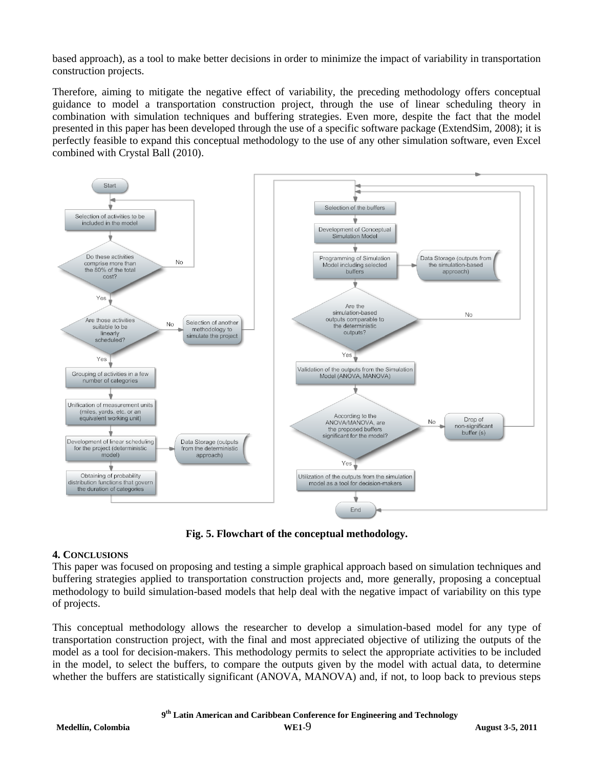based approach), as a tool to make better decisions in order to minimize the impact of variability in transportation construction projects.

Therefore, aiming to mitigate the negative effect of variability, the preceding methodology offers conceptual guidance to model a transportation construction project, through the use of linear scheduling theory in combination with simulation techniques and buffering strategies. Even more, despite the fact that the model presented in this paper has been developed through the use of a specific software package (ExtendSim, 2008); it is perfectly feasible to expand this conceptual methodology to the use of any other simulation software, even Excel combined with Crystal Ball (2010).



**Fig. 5. Flowchart of the conceptual methodology.**

#### **4. CONCLUSIONS**

This paper was focused on proposing and testing a simple graphical approach based on simulation techniques and buffering strategies applied to transportation construction projects and, more generally, proposing a conceptual methodology to build simulation-based models that help deal with the negative impact of variability on this type of projects.

This conceptual methodology allows the researcher to develop a simulation-based model for any type of transportation construction project, with the final and most appreciated objective of utilizing the outputs of the model as a tool for decision-makers. This methodology permits to select the appropriate activities to be included in the model, to select the buffers, to compare the outputs given by the model with actual data, to determine whether the buffers are statistically significant (ANOVA, MANOVA) and, if not, to loop back to previous steps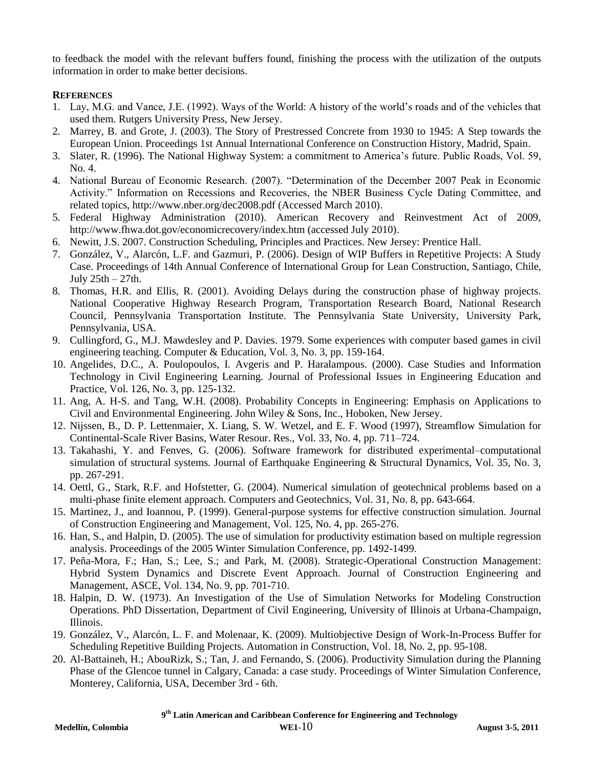to feedback the model with the relevant buffers found, finishing the process with the utilization of the outputs information in order to make better decisions.

## **REFERENCES**

- 1. Lay, M.G. and Vance, J.E. (1992). Ways of the World: A history of the world's roads and of the vehicles that used them. Rutgers University Press, New Jersey.
- 2. Marrey, B. and Grote, J. (2003). The Story of Prestressed Concrete from 1930 to 1945: A Step towards the European Union. Proceedings 1st Annual International Conference on Construction History, Madrid, Spain.
- 3. Slater, R. (1996). The National Highway System: a commitment to America's future. Public Roads, Vol. 59, No. 4.
- 4. National Bureau of Economic Research. (2007). "Determination of the December 2007 Peak in Economic Activity." Information on Recessions and Recoveries, the NBER Business Cycle Dating Committee, and related topics, http://www.nber.org/dec2008.pdf (Accessed March 2010).
- 5. Federal Highway Administration (2010). American Recovery and Reinvestment Act of 2009, http://www.fhwa.dot.gov/economicrecovery/index.htm (accessed July 2010).
- 6. Newitt, J.S. 2007. Construction Scheduling, Principles and Practices. New Jersey: Prentice Hall.
- 7. González, V., Alarcón, L.F. and Gazmuri, P. (2006). Design of WIP Buffers in Repetitive Projects: A Study Case. Proceedings of 14th Annual Conference of International Group for Lean Construction, Santiago, Chile, July 25th – 27th.
- 8. Thomas, H.R. and Ellis, R. (2001). Avoiding Delays during the construction phase of highway projects. National Cooperative Highway Research Program, Transportation Research Board, National Research Council, Pennsylvania Transportation Institute. The Pennsylvania State University, University Park, Pennsylvania, USA.
- 9. Cullingford, G., M.J. Mawdesley and P. Davies. 1979. Some experiences with computer based games in civil engineering teaching. Computer & Education, Vol. 3, No. 3, pp. 159-164.
- 10. Angelides, D.C., A. Poulopoulos, I. Avgeris and P. Haralampous. (2000). Case Studies and Information Technology in Civil Engineering Learning. Journal of Professional Issues in Engineering Education and Practice, Vol. 126, No. 3, pp. 125-132.
- 11. Ang, A. H-S. and Tang, W.H. (2008). Probability Concepts in Engineering: Emphasis on Applications to Civil and Environmental Engineering. John Wiley & Sons, Inc., Hoboken, New Jersey.
- 12. Nijssen, B., D. P. Lettenmaier, X. Liang, S. W. Wetzel, and E. F. Wood (1997), Streamflow Simulation for Continental-Scale River Basins, Water Resour. Res., Vol. 33, No. 4, pp. 711–724.
- 13. Takahashi, Y. and Fenves, G. (2006). Software framework for distributed experimental–computational simulation of structural systems. Journal of Earthquake Engineering & Structural Dynamics, Vol. 35, No. 3, pp. 267-291.
- 14. Oettl, G., Stark, R.F. and Hofstetter, G. (2004). Numerical simulation of geotechnical problems based on a multi-phase finite element approach. Computers and Geotechnics, Vol. 31, No. 8, pp. 643-664.
- 15. Martinez, J., and Ioannou, P. (1999). General-purpose systems for effective construction simulation. Journal of Construction Engineering and Management, Vol. 125, No. 4, pp. 265-276.
- 16. Han, S., and Halpin, D. (2005). The use of simulation for productivity estimation based on multiple regression analysis. Proceedings of the 2005 Winter Simulation Conference, pp. 1492-1499.
- 17. Peña-Mora, F.; Han, S.; Lee, S.; and Park, M. (2008). Strategic-Operational Construction Management: Hybrid System Dynamics and Discrete Event Approach. Journal of Construction Engineering and Management, ASCE, Vol. 134, No. 9, pp. 701-710.
- 18. Halpin, D. W. (1973). An Investigation of the Use of Simulation Networks for Modeling Construction Operations. PhD Dissertation, Department of Civil Engineering, University of Illinois at Urbana-Champaign, Illinois.
- 19. González, V., Alarcón, L. F. and Molenaar, K. (2009). Multiobjective Design of Work-In-Process Buffer for Scheduling Repetitive Building Projects. Automation in Construction, Vol. 18, No. 2, pp. 95-108.
- 20. Al-Battaineh, H.; AbouRizk, S.; Tan, J. and Fernando, S. (2006). Productivity Simulation during the Planning Phase of the Glencoe tunnel in Calgary, Canada: a case study. Proceedings of Winter Simulation Conference, Monterey, California, USA, December 3rd - 6th.

 **9 th Latin American and Caribbean Conference for Engineering and Technology**